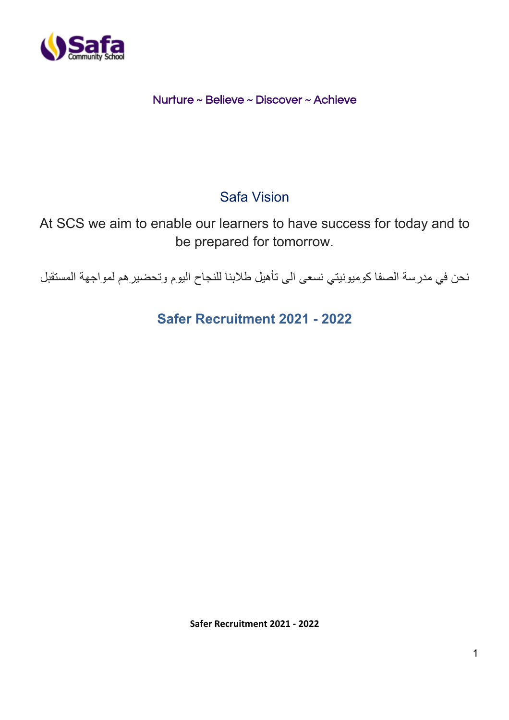

## Nurture ~ Believe ~ Discover ~ Achieve

# Safa Vision

At SCS we aim to enable our learners to have success for today and to be prepared for tomorrow.

نحن في مدرسة الصفا كوميونيتي نسعى الى تأهيل طلابنا للنجاح اليوم وتحضير هم لمواجهة المستقبل

**Safer Recruitment 2021 - 2022**

**Safer Recruitment 2021 - 2022**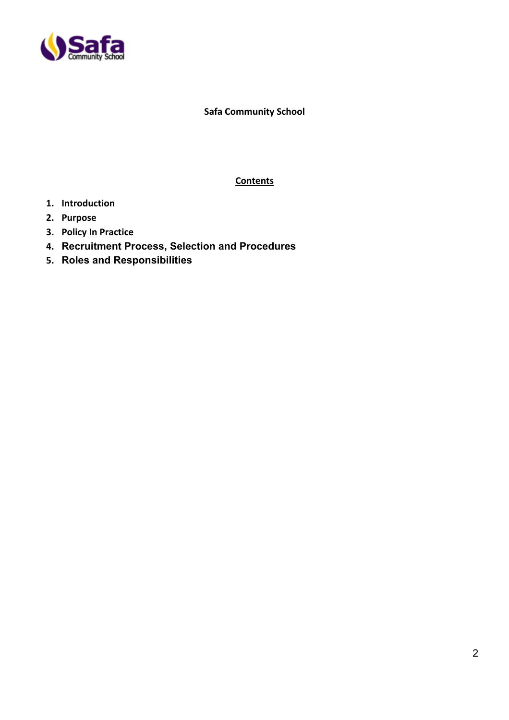

**Safa Community School** 

**Contents**

- **1. Introduction**
- **2. Purpose**
- **3. Policy In Practice**
- **4. Recruitment Process, Selection and Procedures**
- **5. Roles and Responsibilities**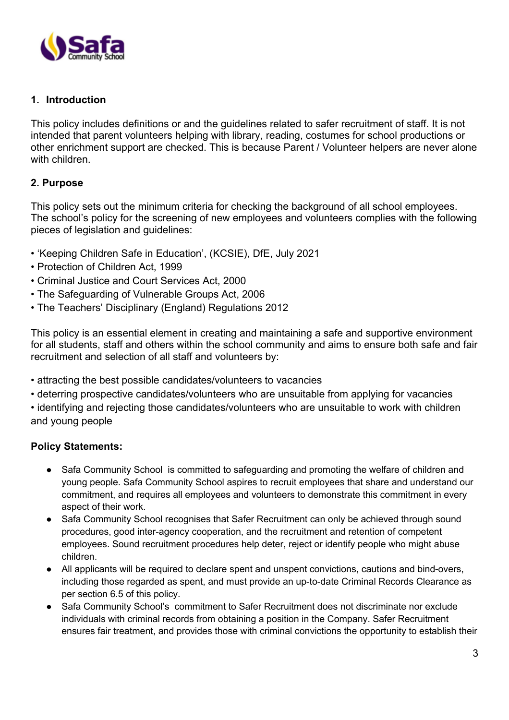

#### **1. Introduction**

This policy includes definitions or and the guidelines related to safer recruitment of staff. It is not intended that parent volunteers helping with library, reading, costumes for school productions or other enrichment support are checked. This is because Parent / Volunteer helpers are never alone with children.

#### **2. Purpose**

This policy sets out the minimum criteria for checking the background of all school employees. The school's policy for the screening of new employees and volunteers complies with the following pieces of legislation and guidelines:

- 'Keeping Children Safe in Education', (KCSIE), DfE, July 2021
- Protection of Children Act, 1999
- Criminal Justice and Court Services Act, 2000
- The Safeguarding of Vulnerable Groups Act, 2006
- The Teachers' Disciplinary (England) Regulations 2012

This policy is an essential element in creating and maintaining a safe and supportive environment for all students, staff and others within the school community and aims to ensure both safe and fair recruitment and selection of all staff and volunteers by:

- attracting the best possible candidates/volunteers to vacancies
- deterring prospective candidates/volunteers who are unsuitable from applying for vacancies
- identifying and rejecting those candidates/volunteers who are unsuitable to work with children and young people

#### **Policy Statements:**

- Safa Community School is committed to safeguarding and promoting the welfare of children and young people. Safa Community School aspires to recruit employees that share and understand our commitment, and requires all employees and volunteers to demonstrate this commitment in every aspect of their work.
- Safa Community School recognises that Safer Recruitment can only be achieved through sound procedures, good inter-agency cooperation, and the recruitment and retention of competent employees. Sound recruitment procedures help deter, reject or identify people who might abuse children.
- All applicants will be required to declare spent and unspent convictions, cautions and bind-overs, including those regarded as spent, and must provide an up-to-date Criminal Records Clearance as per section 6.5 of this policy.
- Safa Community School's commitment to Safer Recruitment does not discriminate nor exclude individuals with criminal records from obtaining a position in the Company. Safer Recruitment ensures fair treatment, and provides those with criminal convictions the opportunity to establish their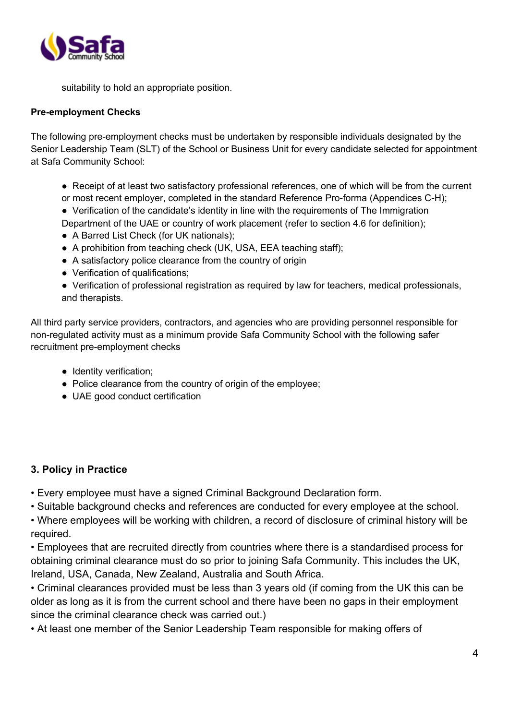

suitability to hold an appropriate position.

#### **Pre-employment Checks**

The following pre-employment checks must be undertaken by responsible individuals designated by the Senior Leadership Team (SLT) of the School or Business Unit for every candidate selected for appointment at Safa Community School:

- Receipt of at least two satisfactory professional references, one of which will be from the current or most recent employer, completed in the standard Reference Pro-forma (Appendices C-H);
- Verification of the candidate's identity in line with the requirements of The Immigration
- Department of the UAE or country of work placement (refer to section 4.6 for definition);
- A Barred List Check (for UK nationals);
- A prohibition from teaching check (UK, USA, EEA teaching staff);
- A satisfactory police clearance from the country of origin
- Verification of qualifications;
- Verification of professional registration as required by law for teachers, medical professionals, and therapists.

All third party service providers, contractors, and agencies who are providing personnel responsible for non-regulated activity must as a minimum provide Safa Community School with the following safer recruitment pre-employment checks

- Identity verification;
- Police clearance from the country of origin of the employee;
- UAE good conduct certification

#### **3. Policy in Practice**

- Every employee must have a signed Criminal Background Declaration form.
- Suitable background checks and references are conducted for every employee at the school.

• Where employees will be working with children, a record of disclosure of criminal history will be required.

• Employees that are recruited directly from countries where there is a standardised process for obtaining criminal clearance must do so prior to joining Safa Community. This includes the UK, Ireland, USA, Canada, New Zealand, Australia and South Africa.

• Criminal clearances provided must be less than 3 years old (if coming from the UK this can be older as long as it is from the current school and there have been no gaps in their employment since the criminal clearance check was carried out.)

• At least one member of the Senior Leadership Team responsible for making offers of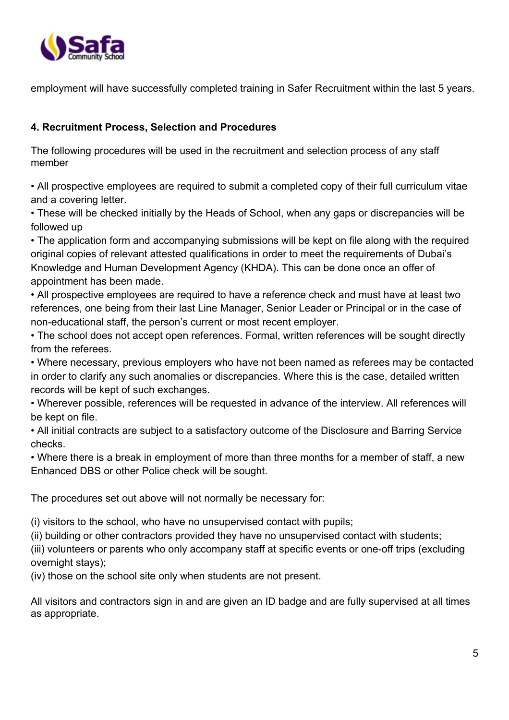

employment will have successfully completed training in Safer Recruitment within the last 5 years.

### **4. Recruitment Process, Selection and Procedures**

The following procedures will be used in the recruitment and selection process of any staff member

• All prospective employees are required to submit a completed copy of their full curriculum vitae and a covering letter.

• These will be checked initially by the Heads of School, when any gaps or discrepancies will be followed up

• The application form and accompanying submissions will be kept on file along with the required original copies of relevant attested qualifications in order to meet the requirements of Dubai's Knowledge and Human Development Agency (KHDA). This can be done once an offer of appointment has been made.

• All prospective employees are required to have a reference check and must have at least two references, one being from their last Line Manager, Senior Leader or Principal or in the case of non-educational staff, the person's current or most recent employer.

• The school does not accept open references. Formal, written references will be sought directly from the referees.

• Where necessary, previous employers who have not been named as referees may be contacted in order to clarify any such anomalies or discrepancies. Where this is the case, detailed written records will be kept of such exchanges.

• Wherever possible, references will be requested in advance of the interview. All references will be kept on file.

• All initial contracts are subject to a satisfactory outcome of the Disclosure and Barring Service checks.

• Where there is a break in employment of more than three months for a member of staff, a new Enhanced DBS or other Police check will be sought.

The procedures set out above will not normally be necessary for:

(i) visitors to the school, who have no unsupervised contact with pupils;

(ii) building or other contractors provided they have no unsupervised contact with students;

(iii) volunteers or parents who only accompany staff at specific events or one-off trips (excluding overnight stays);

(iv) those on the school site only when students are not present.

All visitors and contractors sign in and are given an ID badge and are fully supervised at all times as appropriate.